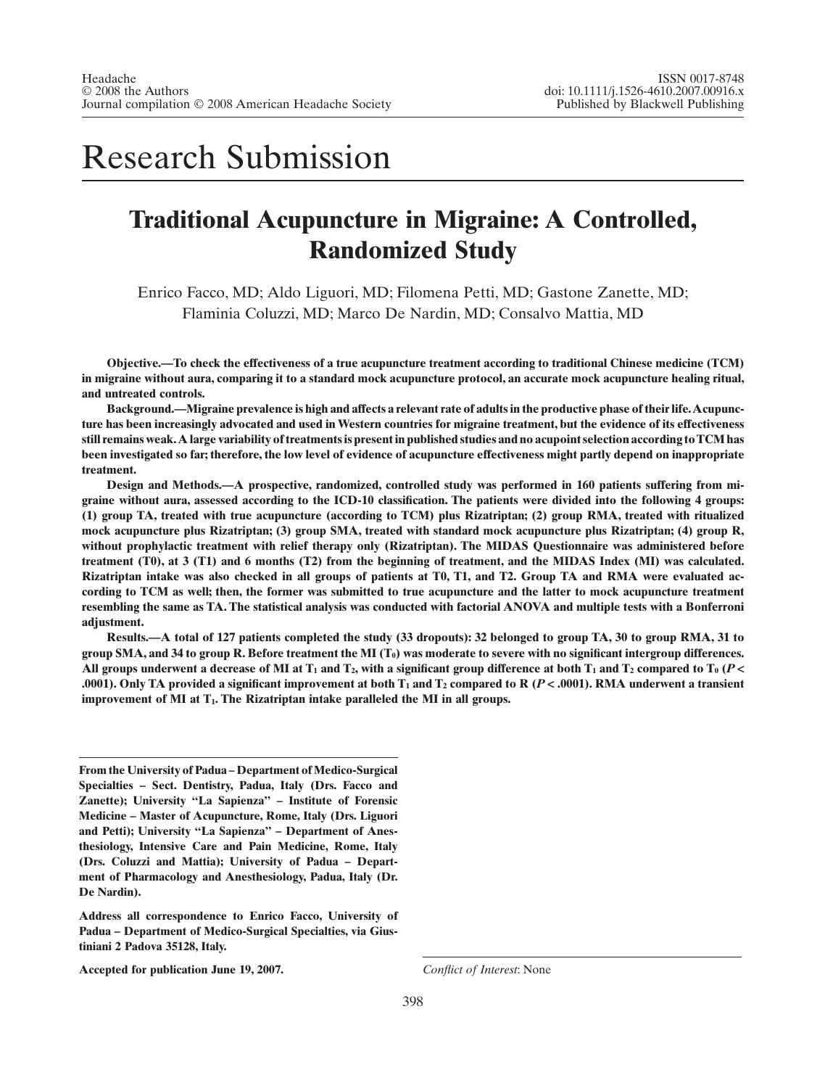# Research Submission

## **Traditional Acupuncture in Migraine: A Controlled, Randomized Study**

Enrico Facco, MD; Aldo Liguori, MD; Filomena Petti, MD; Gastone Zanette, MD; Flaminia Coluzzi, MD; Marco De Nardin, MD; Consalvo Mattia, MD

**Objective.—To check the effectiveness of a true acupuncture treatment according to traditional Chinese medicine (TCM) in migraine without aura, comparing it to a standard mock acupuncture protocol, an accurate mock acupuncture healing ritual, and untreated controls.**

**Background.—Migraine prevalence is high and affects a relevant rate of adults in the productive phase of their life.Acupuncture has been increasingly advocated and used in Western countries for migraine treatment, but the evidence of its effectiveness still remains weak.A large variability of treatments is present in published studies and no acupoint selection according toTCM has been investigated so far; therefore, the low level of evidence of acupuncture effectiveness might partly depend on inappropriate treatment.**

**Design and Methods.—A prospective, randomized, controlled study was performed in 160 patients suffering from migraine without aura, assessed according to the ICD-10 classification. The patients were divided into the following 4 groups: (1) group TA, treated with true acupuncture (according to TCM) plus Rizatriptan; (2) group RMA, treated with ritualized mock acupuncture plus Rizatriptan; (3) group SMA, treated with standard mock acupuncture plus Rizatriptan; (4) group R, without prophylactic treatment with relief therapy only (Rizatriptan). The MIDAS Questionnaire was administered before treatment (T0), at 3 (T1) and 6 months (T2) from the beginning of treatment, and the MIDAS Index (MI) was calculated. Rizatriptan intake was also checked in all groups of patients at T0, T1, and T2. Group TA and RMA were evaluated according to TCM as well; then, the former was submitted to true acupuncture and the latter to mock acupuncture treatment resembling the same as TA. The statistical analysis was conducted with factorial ANOVA and multiple tests with a Bonferroni adjustment.**

**Results.—A total of 127 patients completed the study (33 dropouts): 32 belonged to group TA, 30 to group RMA, 31 to** group SMA, and 34 to group R. Before treatment the MI  $(T_0)$  was moderate to severe with no significant intergroup differences. All groups underwent a decrease of MI at  $T_1$  and  $T_2$ , with a significant group difference at both  $T_1$  and  $T_2$  compared to  $T_0$  ( $P$  < **.0001). Only TA provided a significant improvement at both T1 and T2 compared to R (***P* < **.0001). RMA underwent a transient** improvement of MI at T<sub>1</sub>. The Rizatriptan intake paralleled the MI in all groups.

**From the University of Padua – Department of Medico-Surgical Specialties – Sect. Dentistry, Padua, Italy (Drs. Facco and Zanette); University "La Sapienza" – Institute of Forensic Medicine – Master of Acupuncture, Rome, Italy (Drs. Liguori and Petti); University "La Sapienza" – Department of Anesthesiology, Intensive Care and Pain Medicine, Rome, Italy (Drs. Coluzzi and Mattia); University of Padua – Department of Pharmacology and Anesthesiology, Padua, Italy (Dr. De Nardin).**

**Address all correspondence to Enrico Facco, University of Padua – Department of Medico-Surgical Specialties, via Giustiniani 2 Padova 35128, Italy.**

**Accepted for publication June 19, 2007.** *Conflict of Interest*: None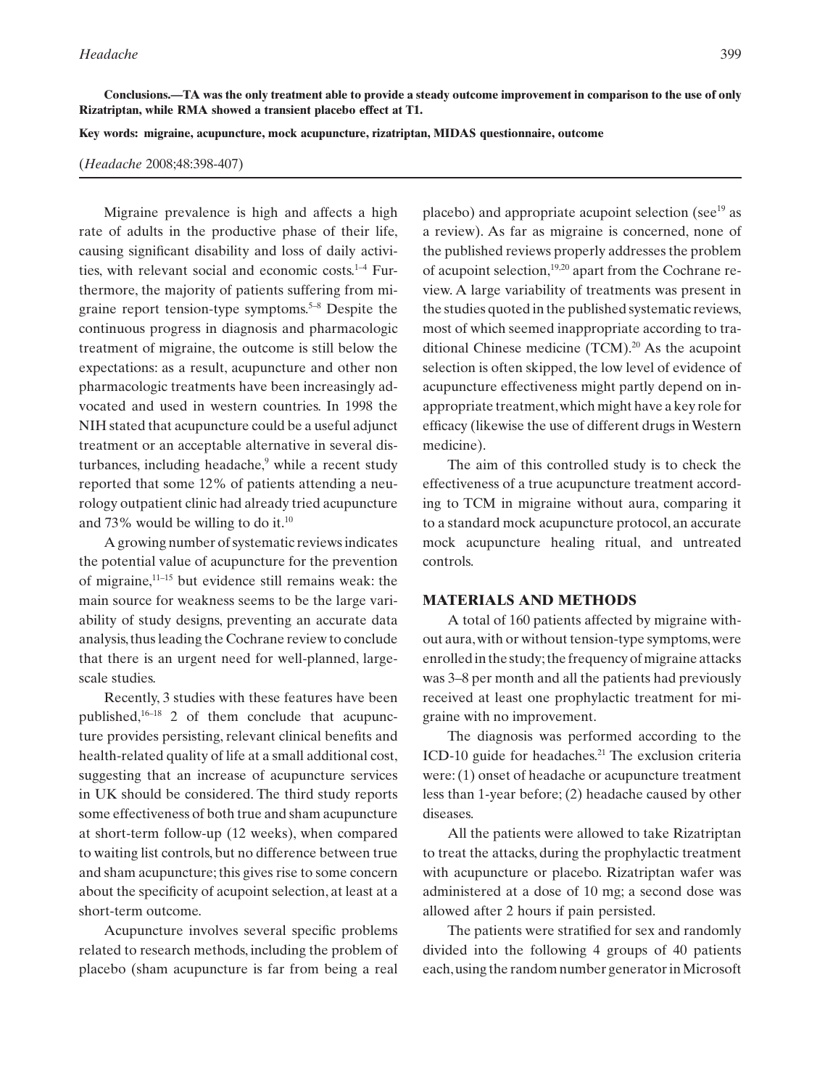**Conclusions.—TA was the only treatment able to provide a steady outcome improvement in comparison to the use of only Rizatriptan, while RMA showed a transient placebo effect at T1.**

**Key words: migraine, acupuncture, mock acupuncture, rizatriptan, MIDAS questionnaire, outcome**

(*Headache* 2008;48:398-407)

Migraine prevalence is high and affects a high rate of adults in the productive phase of their life, causing significant disability and loss of daily activities, with relevant social and economic costs. $1-4$  Furthermore, the majority of patients suffering from migraine report tension-type symptoms.<sup>5–8</sup> Despite the continuous progress in diagnosis and pharmacologic treatment of migraine, the outcome is still below the expectations: as a result, acupuncture and other non pharmacologic treatments have been increasingly advocated and used in western countries. In 1998 the NIH stated that acupuncture could be a useful adjunct treatment or an acceptable alternative in several disturbances, including headache,<sup>9</sup> while a recent study reported that some 12% of patients attending a neurology outpatient clinic had already tried acupuncture and  $73\%$  would be willing to do it.<sup>10</sup>

A growing number of systematic reviews indicates the potential value of acupuncture for the prevention of migraine, $11-15$  but evidence still remains weak: the main source for weakness seems to be the large variability of study designs, preventing an accurate data analysis, thus leading the Cochrane review to conclude that there is an urgent need for well-planned, largescale studies.

Recently, 3 studies with these features have been published, $16-18$  2 of them conclude that acupuncture provides persisting, relevant clinical benefits and health-related quality of life at a small additional cost, suggesting that an increase of acupuncture services in UK should be considered. The third study reports some effectiveness of both true and sham acupuncture at short-term follow-up (12 weeks), when compared to waiting list controls, but no difference between true and sham acupuncture; this gives rise to some concern about the specificity of acupoint selection, at least at a short-term outcome.

Acupuncture involves several specific problems related to research methods, including the problem of placebo (sham acupuncture is far from being a real

placebo) and appropriate acupoint selection (see $19$ ) as a review). As far as migraine is concerned, none of the published reviews properly addresses the problem of acupoint selection,<sup>19,20</sup> apart from the Cochrane review. A large variability of treatments was present in the studies quoted in the published systematic reviews, most of which seemed inappropriate according to traditional Chinese medicine  $(TCM)<sup>20</sup>$  As the acupoint selection is often skipped, the low level of evidence of acupuncture effectiveness might partly depend on inappropriate treatment,which might have a key role for efficacy (likewise the use of different drugs inWestern medicine).

The aim of this controlled study is to check the effectiveness of a true acupuncture treatment according to TCM in migraine without aura, comparing it to a standard mock acupuncture protocol, an accurate mock acupuncture healing ritual, and untreated controls.

### **MATERIALS AND METHODS**

A total of 160 patients affected by migraine without aura,with or without tension-type symptoms,were enrolled in the study; the frequency of migraine attacks was 3–8 per month and all the patients had previously received at least one prophylactic treatment for migraine with no improvement.

The diagnosis was performed according to the ICD-10 guide for headaches.<sup>21</sup> The exclusion criteria were: (1) onset of headache or acupuncture treatment less than 1-year before; (2) headache caused by other diseases.

All the patients were allowed to take Rizatriptan to treat the attacks, during the prophylactic treatment with acupuncture or placebo. Rizatriptan wafer was administered at a dose of 10 mg; a second dose was allowed after 2 hours if pain persisted.

The patients were stratified for sex and randomly divided into the following 4 groups of 40 patients each, using the random number generator in Microsoft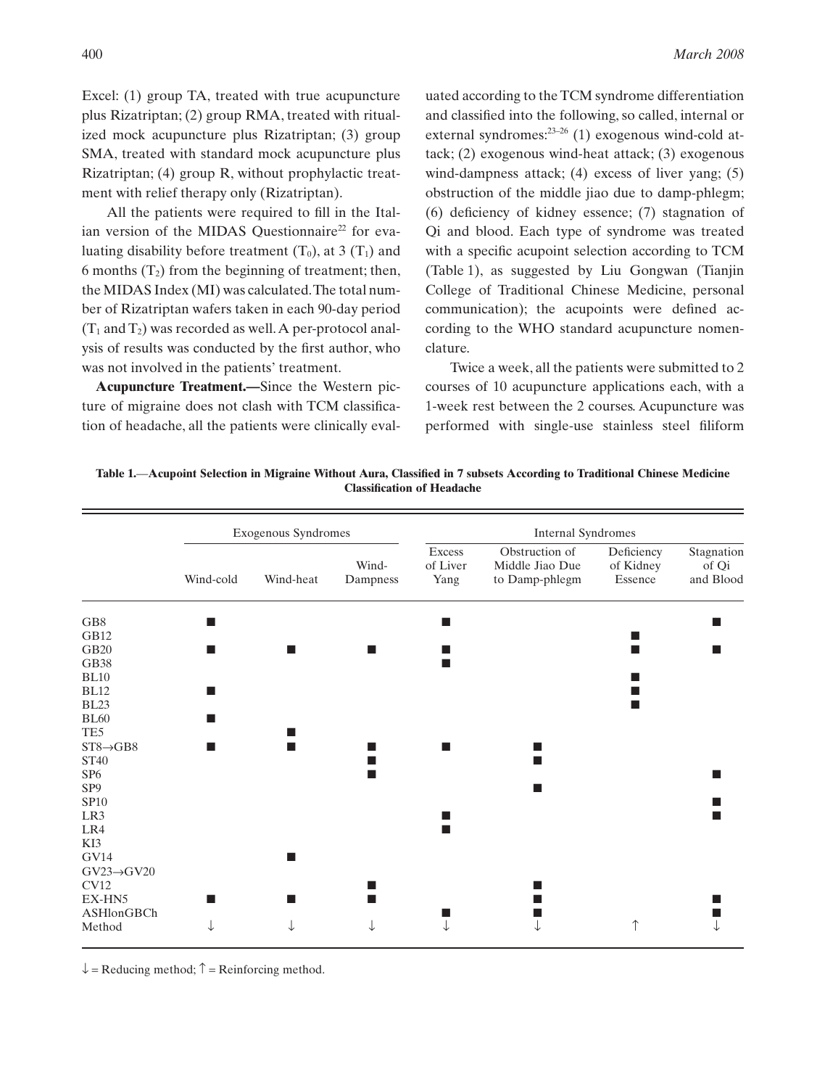Excel: (1) group TA, treated with true acupuncture plus Rizatriptan; (2) group RMA, treated with ritualized mock acupuncture plus Rizatriptan; (3) group SMA, treated with standard mock acupuncture plus Rizatriptan; (4) group R, without prophylactic treatment with relief therapy only (Rizatriptan).

All the patients were required to fill in the Italian version of the MIDAS Questionnaire<sup>22</sup> for evaluating disability before treatment  $(T_0)$ , at 3  $(T_1)$  and 6 months  $(T_2)$  from the beginning of treatment; then, the MIDAS Index (MI) was calculated.The total number of Rizatriptan wafers taken in each 90-day period  $(T_1$  and  $T_2)$  was recorded as well. A per-protocol analysis of results was conducted by the first author, who was not involved in the patients' treatment.

**Acupuncture Treatment.—**Since the Western picture of migraine does not clash with TCM classification of headache, all the patients were clinically evaluated according to the TCM syndrome differentiation and classified into the following, so called, internal or external syndromes:<sup>23-26</sup> (1) exogenous wind-cold attack; (2) exogenous wind-heat attack; (3) exogenous wind-dampness attack; (4) excess of liver yang; (5) obstruction of the middle jiao due to damp-phlegm; (6) deficiency of kidney essence; (7) stagnation of Qi and blood. Each type of syndrome was treated with a specific acupoint selection according to TCM (Table 1), as suggested by Liu Gongwan (Tianjin College of Traditional Chinese Medicine, personal communication); the acupoints were defined according to the WHO standard acupuncture nomenclature.

Twice a week, all the patients were submitted to 2 courses of 10 acupuncture applications each, with a 1-week rest between the 2 courses. Acupuncture was performed with single-use stainless steel filiform

**Table 1.**—**Acupoint Selection in Migraine Without Aura, Classified in 7 subsets According to Traditional Chinese Medicine Classification of Headache**

|                                                                                                                        |                                | Exogenous Syndromes |                   |                            | <b>Internal Syndromes</b>                           |                                    |                                  |
|------------------------------------------------------------------------------------------------------------------------|--------------------------------|---------------------|-------------------|----------------------------|-----------------------------------------------------|------------------------------------|----------------------------------|
|                                                                                                                        | Wind-cold                      | Wind-heat           | Wind-<br>Dampness | Excess<br>of Liver<br>Yang | Obstruction of<br>Middle Jiao Due<br>to Damp-phlegm | Deficiency<br>of Kidney<br>Essence | Stagnation<br>of Qi<br>and Blood |
| GB8<br><b>GB12</b><br><b>GB20</b><br><b>GB38</b><br><b>BL10</b><br><b>BL12</b><br><b>BL23</b><br>BL60                  | ▅<br><b>STAR</b><br>- 1<br>- 1 |                     | ٠                 | ш                          |                                                     | ▄<br>H                             |                                  |
| TE5<br>$ST8 \rightarrow GB8$<br><b>ST40</b><br>SP <sub>6</sub><br>SP <sub>9</sub><br>${\bf SP10}$<br>LR3<br>LR4<br>KI3 | - 1                            | ▄                   |                   |                            | ■<br><b>COL</b>                                     |                                    |                                  |
| GV14<br>$GV23 \rightarrow GV20$<br>CV12<br>EX-HN5<br>ASHlonGBCh<br>Method                                              |                                | ▄                   |                   |                            | a l<br>$\blacksquare$                               |                                    |                                  |

 $\downarrow$  = Reducing method;  $\uparrow$  = Reinforcing method.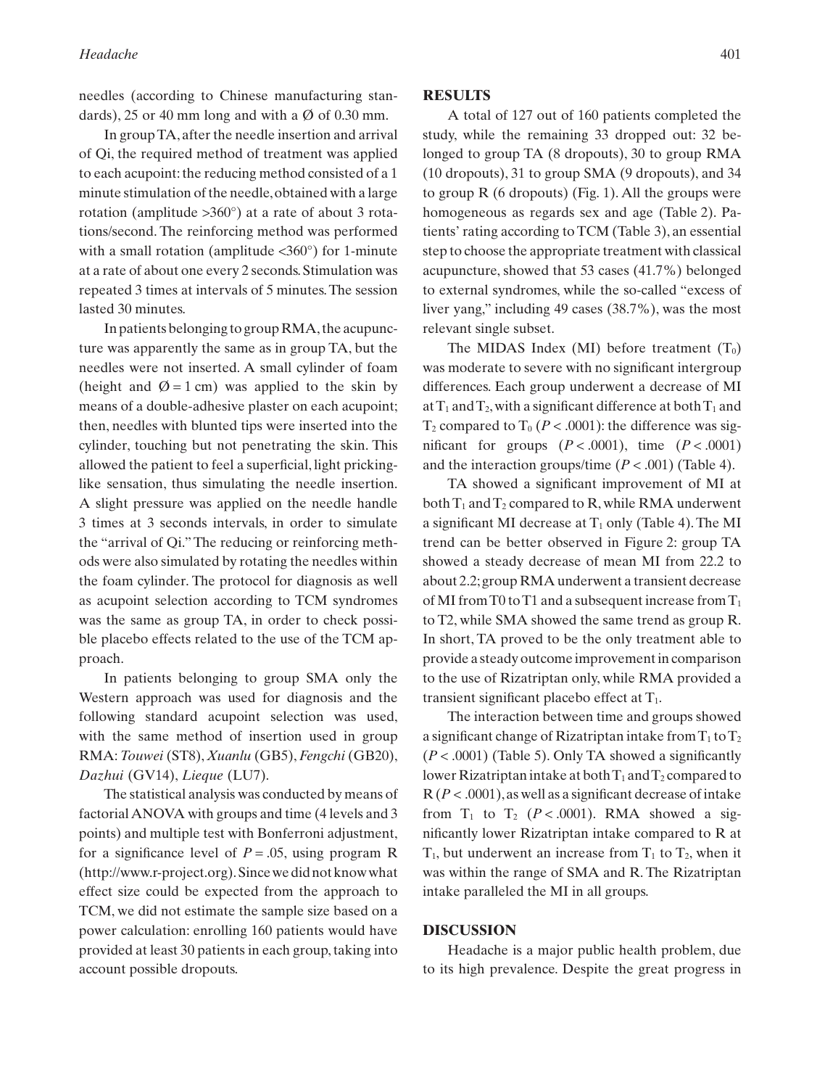needles (according to Chinese manufacturing standards), 25 or 40 mm long and with a  $\varnothing$  of 0.30 mm.

In group TA, after the needle insertion and arrival of Qi, the required method of treatment was applied to each acupoint: the reducing method consisted of a 1 minute stimulation of the needle, obtained with a large rotation (amplitude >360°) at a rate of about 3 rotations/second. The reinforcing method was performed with a small rotation (amplitude  $\langle 360^\circ \rangle$  for 1-minute at a rate of about one every 2 seconds. Stimulation was repeated 3 times at intervals of 5 minutes.The session lasted 30 minutes.

In patients belonging to group RMA, the acupuncture was apparently the same as in group TA, but the needles were not inserted. A small cylinder of foam (height and  $\varnothing$  = 1 cm) was applied to the skin by means of a double-adhesive plaster on each acupoint; then, needles with blunted tips were inserted into the cylinder, touching but not penetrating the skin. This allowed the patient to feel a superficial, light prickinglike sensation, thus simulating the needle insertion. A slight pressure was applied on the needle handle 3 times at 3 seconds intervals, in order to simulate the "arrival of Qi." The reducing or reinforcing methods were also simulated by rotating the needles within the foam cylinder. The protocol for diagnosis as well as acupoint selection according to TCM syndromes was the same as group TA, in order to check possible placebo effects related to the use of the TCM approach.

In patients belonging to group SMA only the Western approach was used for diagnosis and the following standard acupoint selection was used, with the same method of insertion used in group RMA:*Touwei* (ST8), *Xuanlu* (GB5), *Fengchi* (GB20), *Dazhui* (GV14), *Lieque* (LU7).

The statistical analysis was conducted by means of factorialANOVA with groups and time (4 levels and 3 points) and multiple test with Bonferroni adjustment, for a significance level of  $P = .05$ , using program R (<http://www.r-project.org>). Since we did not know what effect size could be expected from the approach to TCM, we did not estimate the sample size based on a power calculation: enrolling 160 patients would have provided at least 30 patients in each group, taking into account possible dropouts.

#### **RESULTS**

A total of 127 out of 160 patients completed the study, while the remaining 33 dropped out: 32 belonged to group TA (8 dropouts), 30 to group RMA (10 dropouts), 31 to group SMA (9 dropouts), and 34 to group  $R$  (6 dropouts) (Fig. 1). All the groups were homogeneous as regards sex and age (Table 2). Patients' rating according to TCM (Table 3), an essential step to choose the appropriate treatment with classical acupuncture, showed that 53 cases (41.7%) belonged to external syndromes, while the so-called "excess of liver yang," including 49 cases (38.7%), was the most relevant single subset.

The MIDAS Index (MI) before treatment  $(T_0)$ was moderate to severe with no significant intergroup differences. Each group underwent a decrease of MI at  $T_1$  and  $T_2$ , with a significant difference at both  $T_1$  and  $T_2$  compared to  $T_0$  ( $P < .0001$ ): the difference was significant for groups  $(P < .0001)$ , time  $(P < .0001)$ and the interaction groups/time  $(P < .001)$  (Table 4).

TA showed a significant improvement of MI at both  $T_1$  and  $T_2$  compared to R, while RMA underwent a significant MI decrease at  $T_1$  only (Table 4). The MI trend can be better observed in Figure 2: group TA showed a steady decrease of mean MI from 22.2 to about 2.2; group RMA underwent a transient decrease of MI from T0 to T1 and a subsequent increase from  $T_1$ to T2, while SMA showed the same trend as group R. In short, TA proved to be the only treatment able to provide a steady outcome improvement in comparison to the use of Rizatriptan only, while RMA provided a transient significant placebo effect at  $T_1$ .

The interaction between time and groups showed a significant change of Rizatriptan intake from  $T_1$  to  $T_2$  $(P < .0001)$  (Table 5). Only TA showed a significantly lower Rizatriptan intake at both  $T_1$  and  $T_2$  compared to R (*P* < .0001), as well as a significant decrease of intake from  $T_1$  to  $T_2$  ( $P < .0001$ ). RMA showed a significantly lower Rizatriptan intake compared to R at  $T_1$ , but underwent an increase from  $T_1$  to  $T_2$ , when it was within the range of SMA and R. The Rizatriptan intake paralleled the MI in all groups.

#### **DISCUSSION**

Headache is a major public health problem, due to its high prevalence. Despite the great progress in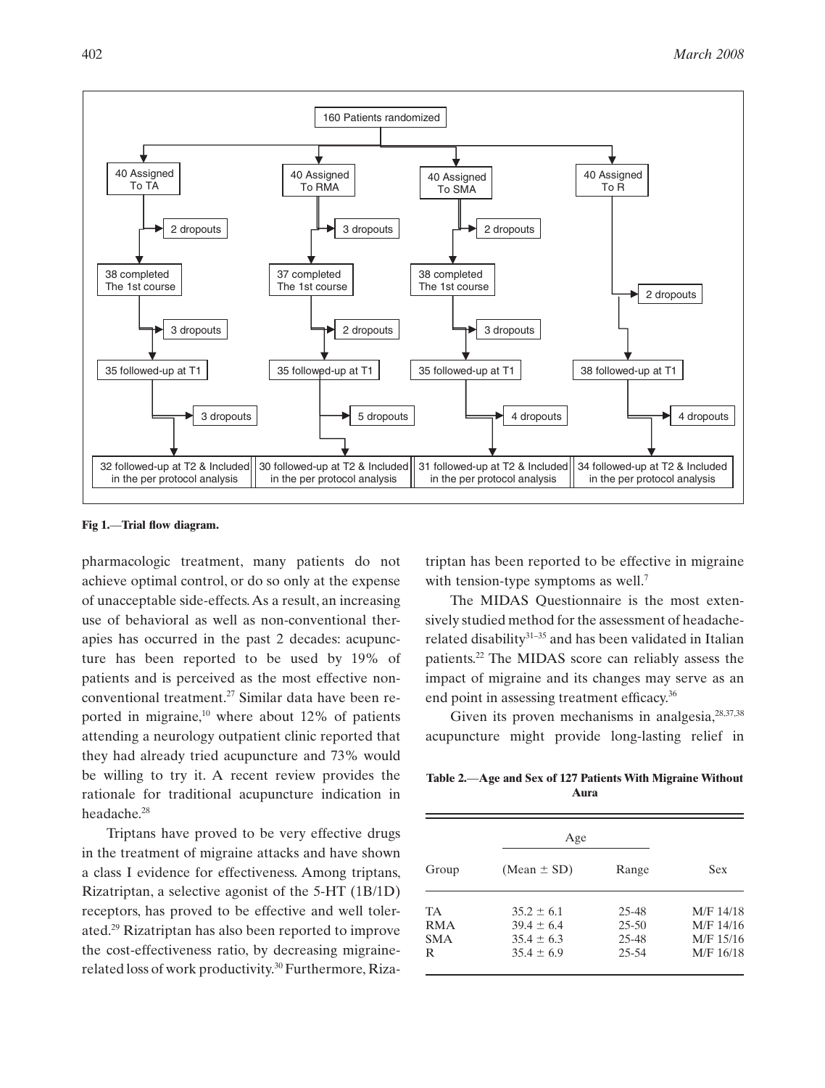

**Fig 1.**—**Trial flow diagram.**

pharmacologic treatment, many patients do not achieve optimal control, or do so only at the expense of unacceptable side-effects.As a result, an increasing use of behavioral as well as non-conventional therapies has occurred in the past 2 decades: acupuncture has been reported to be used by 19% of patients and is perceived as the most effective nonconventional treatment.27 Similar data have been reported in migraine, $10$  where about 12% of patients attending a neurology outpatient clinic reported that they had already tried acupuncture and 73% would be willing to try it. A recent review provides the rationale for traditional acupuncture indication in headache.<sup>28</sup>

Triptans have proved to be very effective drugs in the treatment of migraine attacks and have shown a class I evidence for effectiveness. Among triptans, Rizatriptan, a selective agonist of the 5-HT (1B/1D) receptors, has proved to be effective and well tolerated.29 Rizatriptan has also been reported to improve the cost-effectiveness ratio, by decreasing migrainerelated loss of work productivity.<sup>30</sup> Furthermore, Rizatriptan has been reported to be effective in migraine with tension-type symptoms as well.<sup>7</sup>

The MIDAS Questionnaire is the most extensively studied method for the assessment of headacherelated disability31–35 and has been validated in Italian patients.22 The MIDAS score can reliably assess the impact of migraine and its changes may serve as an end point in assessing treatment efficacy.<sup>36</sup>

Given its proven mechanisms in analgesia, $28,37,38$ acupuncture might provide long-lasting relief in

**Table 2.**—**Age and Sex of 127 Patients With Migraine Without Aura**

|            | Age             |           |            |  |
|------------|-----------------|-----------|------------|--|
| Group      | $(Mean \pm SD)$ | Range     | <b>Sex</b> |  |
| <b>TA</b>  | $35.2 + 6.1$    | 25-48     | M/F 14/18  |  |
| <b>RMA</b> | $39.4 \pm 6.4$  | $25 - 50$ | M/F 14/16  |  |
| <b>SMA</b> | $35.4 \pm 6.3$  | 25-48     | M/F 15/16  |  |
| R          | $35.4 \pm 6.9$  | $25 - 54$ | M/F 16/18  |  |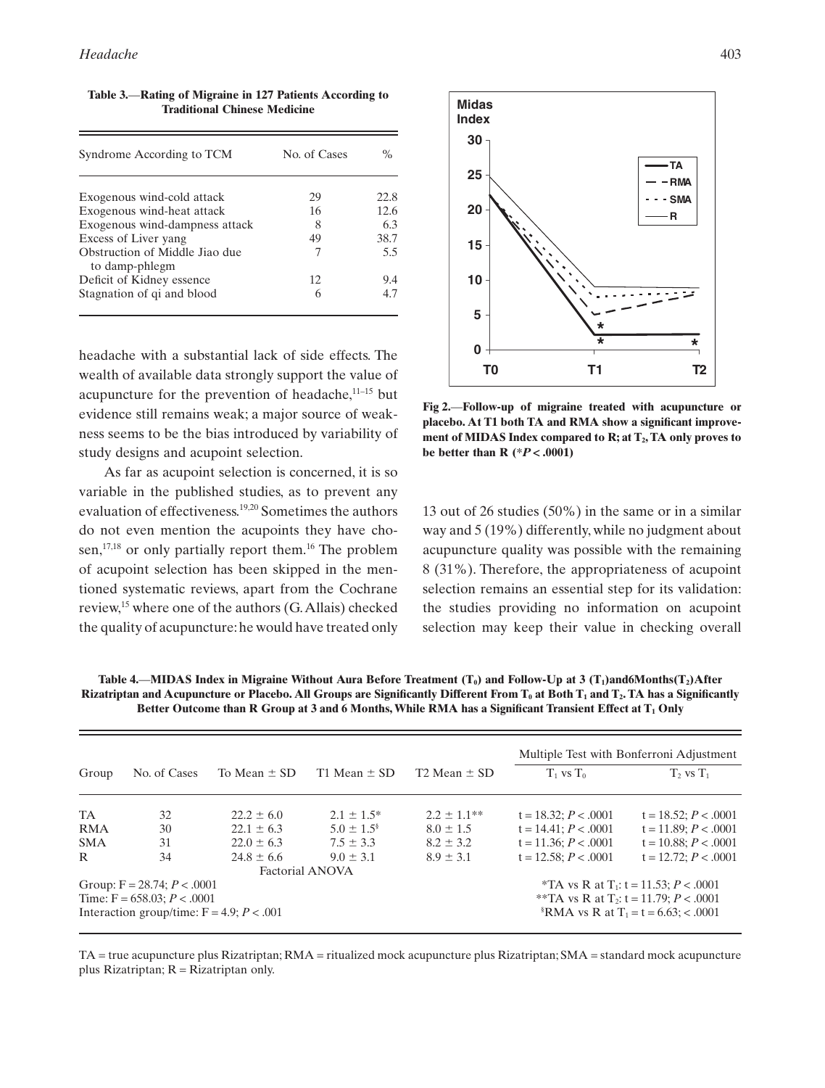| Syndrome According to TCM                        | No. of Cases | $\%$ |
|--------------------------------------------------|--------------|------|
| Exogenous wind-cold attack                       | 29           | 22.8 |
| Exogenous wind-heat attack                       | 16           | 12.6 |
| Exogenous wind-dampness attack                   | х            | 6.3  |
| Excess of Liver yang                             | 49           | 38.7 |
| Obstruction of Middle Jiao due<br>to damp-phlegm |              | 5.5  |
| Deficit of Kidney essence                        | 12           | 9.4  |
| Stagnation of qi and blood                       | 6            | 47   |

**Table 3.**—**Rating of Migraine in 127 Patients According to Traditional Chinese Medicine**

headache with a substantial lack of side effects. The wealth of available data strongly support the value of acupuncture for the prevention of headache, $11-15$  but evidence still remains weak; a major source of weakness seems to be the bias introduced by variability of study designs and acupoint selection.

As far as acupoint selection is concerned, it is so variable in the published studies, as to prevent any evaluation of effectiveness.<sup>19,20</sup> Sometimes the authors do not even mention the acupoints they have chosen, $17,18$  or only partially report them.<sup>16</sup> The problem of acupoint selection has been skipped in the mentioned systematic reviews, apart from the Cochrane review,15 where one of the authors (G.Allais) checked the quality of acupuncture: he would have treated only



**Fig 2.**—**Follow-up of migraine treated with acupuncture or placebo. At T1 both TA and RMA show a significant improve**ment of MIDAS Index compared to R; at T<sub>2</sub>, TA only proves to **be better than R (\****P* < **.0001)**

13 out of 26 studies (50%) in the same or in a similar way and 5 (19%) differently, while no judgment about acupuncture quality was possible with the remaining 8 (31%). Therefore, the appropriateness of acupoint selection remains an essential step for its validation: the studies providing no information on acupoint selection may keep their value in checking overall

Table 4.—**MIDAS Index in Migraine Without Aura Before Treatment (T<sub>0</sub>) and Follow-Up at 3 (T<sub>1</sub>)and6Months(T<sub>2</sub>)After Rizatriptan and Acupuncture or Placebo. All Groups are Significantly Different From T<sub>0</sub> at Both T<sub>1</sub> and T<sub>2</sub>. TA has a Significantly** Better Outcome than R Group at 3 and 6 Months, While RMA has a Significant Transient Effect at T<sub>1</sub> Only

|                                  |                                                |                  |                        |                  |                                                    | Multiple Test with Bonferroni Adjustment                    |
|----------------------------------|------------------------------------------------|------------------|------------------------|------------------|----------------------------------------------------|-------------------------------------------------------------|
| Group                            | No. of Cases                                   | To Mean $\pm$ SD | T1 Mean $\pm$ SD       | T2 Mean $\pm$ SD | $T_1$ vs $T_0$                                     | $T_2$ vs $T_1$                                              |
| <b>TA</b>                        | 32                                             | $22.2 \pm 6.0$   | $2.1 \pm 1.5^*$        | $2.2 \pm 1.1**$  |                                                    |                                                             |
|                                  |                                                |                  |                        |                  | $t = 18.32$ ; $P < .0001$                          | $t = 18.52$ ; $P < .0001$                                   |
| <b>RMA</b>                       | 30                                             | $22.1 \pm 6.3$   | $5.0 \pm 1.5^{\circ}$  | $8.0 \pm 1.5$    | $t = 14.41$ : $P < .0001$                          | $t = 11.89$ ; $P < .0001$                                   |
| <b>SMA</b>                       | 31                                             | $22.0 \pm 6.3$   | $7.5 \pm 3.3$          | $8.2 \pm 3.2$    | $t = 11.36$ : $P < .0001$                          | $t = 10.88$ ; $P < .0001$                                   |
| $\mathbb{R}$                     | 34                                             | $24.8 \pm 6.6$   | $9.0 \pm 3.1$          | $8.9 \pm 3.1$    | $t = 12.58$ ; $P < .0001$                          | $t = 12.72$ : $P < .0001$                                   |
|                                  |                                                |                  | <b>Factorial ANOVA</b> |                  |                                                    |                                                             |
|                                  | Group: $F = 28.74$ ; $P < .0001$               |                  |                        |                  |                                                    | *TA vs R at T <sub>1</sub> : t = 11.53; P < .0001           |
| Time: $F = 658.03$ ; $P < .0001$ |                                                |                  |                        |                  | **TA vs R at T <sub>2</sub> : t = 11.79; P < .0001 |                                                             |
|                                  | Interaction group/time: $F = 4.9$ ; $P < .001$ |                  |                        |                  |                                                    | <sup>§</sup> RMA vs R at T <sub>1</sub> = t = 6.63; < .0001 |

TA = true acupuncture plus Rizatriptan; RMA = ritualized mock acupuncture plus Rizatriptan; SMA = standard mock acupuncture plus Rizatriptan;  $R =$  Rizatriptan only.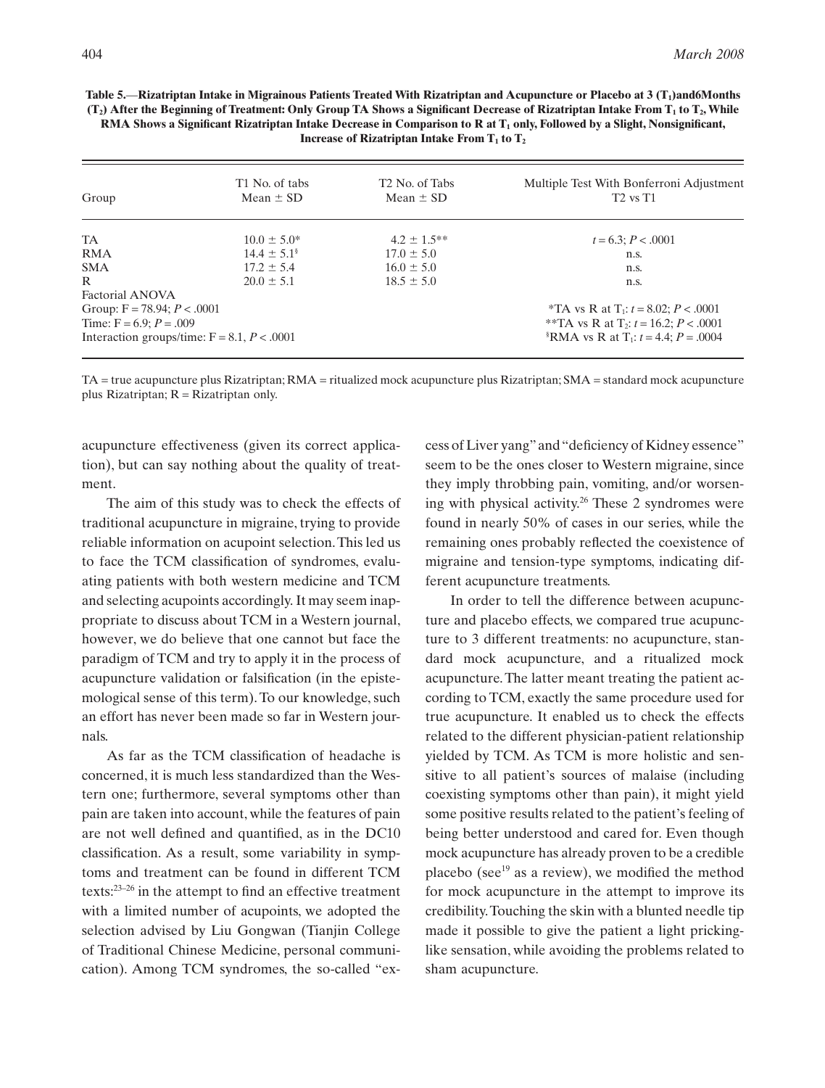| Group                                         | T <sub>1</sub> N <sub>o</sub> of tabs<br>Mean $\pm$ SD | T <sub>2</sub> No. of Tabs<br>Mean $\pm$ SD           | Multiple Test With Bonferroni Adjustment<br>$T2$ vs $T1$          |  |  |
|-----------------------------------------------|--------------------------------------------------------|-------------------------------------------------------|-------------------------------------------------------------------|--|--|
| <b>TA</b>                                     | $10.0 \pm 5.0^*$                                       | $4.2 \pm 1.5**$                                       | $t = 6.3; P < .0001$                                              |  |  |
| <b>RMA</b>                                    | $14.4 \pm 5.1^{\circ}$                                 | $17.0 \pm 5.0$                                        | n.s.                                                              |  |  |
| <b>SMA</b>                                    | $17.2 \pm 5.4$                                         | $16.0 \pm 5.0$                                        | n.s.                                                              |  |  |
| $\mathbb{R}$                                  | $20.0 \pm 5.1$                                         | $18.5 \pm 5.0$                                        | n.s.                                                              |  |  |
| <b>Factorial ANOVA</b>                        |                                                        |                                                       |                                                                   |  |  |
| Group: $F = 78.94$ ; $P < .0001$              |                                                        | *TA vs R at T <sub>1</sub> : $t = 8.02$ ; $P < .0001$ |                                                                   |  |  |
| Time: $F = 6.9$ ; $P = .009$                  |                                                        |                                                       | **TA vs R at T <sub>2</sub> : $t = 16.2$ ; $P < .0001$            |  |  |
| Interaction groups/time: $F = 8.1, P < .0001$ |                                                        |                                                       | <sup>§</sup> RMA vs R at T <sub>1</sub> : $t = 4.4$ ; $P = .0004$ |  |  |

| Table 5.—Rizatriptan Intake in Migrainous Patients Treated With Rizatriptan and Acupuncture or Placebo at 3 (T1)and6Months             |
|----------------------------------------------------------------------------------------------------------------------------------------|
| $(T_2)$ After the Beginning of Treatment: Only Group TA Shows a Significant Decrease of Rizatriptan Intake From $T_1$ to $T_2$ , While |
| RMA Shows a Significant Rizatriptan Intake Decrease in Comparison to R at T <sub>1</sub> only, Followed by a Slight, Nonsignificant,   |
| Increase of Rizatriptan Intake From $T_1$ to $T_2$ .                                                                                   |

TA = true acupuncture plus Rizatriptan; RMA = ritualized mock acupuncture plus Rizatriptan; SMA = standard mock acupuncture plus Rizatriptan;  $R =$  Rizatriptan only.

acupuncture effectiveness (given its correct application), but can say nothing about the quality of treatment.

The aim of this study was to check the effects of traditional acupuncture in migraine, trying to provide reliable information on acupoint selection.This led us to face the TCM classification of syndromes, evaluating patients with both western medicine and TCM and selecting acupoints accordingly. It may seem inappropriate to discuss about TCM in a Western journal, however, we do believe that one cannot but face the paradigm of TCM and try to apply it in the process of acupuncture validation or falsification (in the epistemological sense of this term). To our knowledge, such an effort has never been made so far in Western journals.

As far as the TCM classification of headache is concerned, it is much less standardized than the Western one; furthermore, several symptoms other than pain are taken into account, while the features of pain are not well defined and quantified, as in the DC10 classification. As a result, some variability in symptoms and treatment can be found in different TCM texts:23–26 in the attempt to find an effective treatment with a limited number of acupoints, we adopted the selection advised by Liu Gongwan (Tianjin College of Traditional Chinese Medicine, personal communication). Among TCM syndromes, the so-called "excess of Liver yang" and "deficiency of Kidney essence" seem to be the ones closer to Western migraine, since they imply throbbing pain, vomiting, and/or worsening with physical activity.<sup>26</sup> These 2 syndromes were found in nearly 50% of cases in our series, while the remaining ones probably reflected the coexistence of migraine and tension-type symptoms, indicating different acupuncture treatments.

In order to tell the difference between acupuncture and placebo effects, we compared true acupuncture to 3 different treatments: no acupuncture, standard mock acupuncture, and a ritualized mock acupuncture.The latter meant treating the patient according to TCM, exactly the same procedure used for true acupuncture. It enabled us to check the effects related to the different physician-patient relationship yielded by TCM. As TCM is more holistic and sensitive to all patient's sources of malaise (including coexisting symptoms other than pain), it might yield some positive results related to the patient's feeling of being better understood and cared for. Even though mock acupuncture has already proven to be a credible placebo (see $19$  as a review), we modified the method for mock acupuncture in the attempt to improve its credibility.Touching the skin with a blunted needle tip made it possible to give the patient a light prickinglike sensation, while avoiding the problems related to sham acupuncture.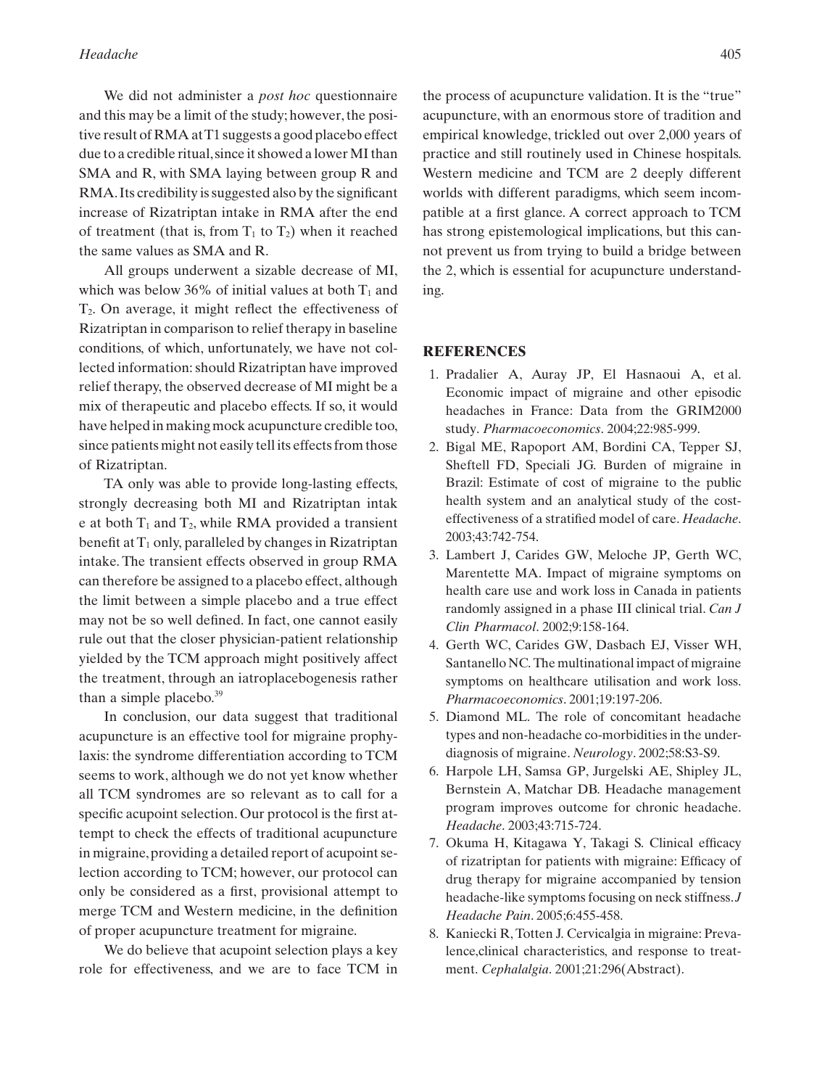We did not administer a *post hoc* questionnaire and this may be a limit of the study; however, the positive result of RMA atT1 suggests a good placebo effect due to a credible ritual, since it showed a lower MI than SMA and R, with SMA laying between group R and RMA. Its credibility is suggested also by the significant increase of Rizatriptan intake in RMA after the end of treatment (that is, from  $T_1$  to  $T_2$ ) when it reached the same values as SMA and R.

All groups underwent a sizable decrease of MI, which was below 36% of initial values at both  $T_1$  and T2. On average, it might reflect the effectiveness of Rizatriptan in comparison to relief therapy in baseline conditions, of which, unfortunately, we have not collected information: should Rizatriptan have improved relief therapy, the observed decrease of MI might be a mix of therapeutic and placebo effects. If so, it would have helped in making mock acupuncture credible too, since patients might not easily tell its effects from those of Rizatriptan.

TA only was able to provide long-lasting effects, strongly decreasing both MI and Rizatriptan intak e at both  $T_1$  and  $T_2$ , while RMA provided a transient benefit at  $T_1$  only, paralleled by changes in Rizatriptan intake. The transient effects observed in group RMA can therefore be assigned to a placebo effect, although the limit between a simple placebo and a true effect may not be so well defined. In fact, one cannot easily rule out that the closer physician-patient relationship yielded by the TCM approach might positively affect the treatment, through an iatroplacebogenesis rather than a simple placebo.39

In conclusion, our data suggest that traditional acupuncture is an effective tool for migraine prophylaxis: the syndrome differentiation according to TCM seems to work, although we do not yet know whether all TCM syndromes are so relevant as to call for a specific acupoint selection. Our protocol is the first attempt to check the effects of traditional acupuncture in migraine, providing a detailed report of acupoint selection according to TCM; however, our protocol can only be considered as a first, provisional attempt to merge TCM and Western medicine, in the definition of proper acupuncture treatment for migraine.

We do believe that acupoint selection plays a key role for effectiveness, and we are to face TCM in

the process of acupuncture validation. It is the "true" acupuncture, with an enormous store of tradition and empirical knowledge, trickled out over 2,000 years of practice and still routinely used in Chinese hospitals. Western medicine and TCM are 2 deeply different worlds with different paradigms, which seem incompatible at a first glance. A correct approach to TCM has strong epistemological implications, but this cannot prevent us from trying to build a bridge between the 2, which is essential for acupuncture understanding.

#### **REFERENCES**

- 1. Pradalier A, Auray JP, El Hasnaoui A, et al. Economic impact of migraine and other episodic headaches in France: Data from the GRIM2000 study. *Pharmacoeconomics*. 2004;22:985-999.
- 2. Bigal ME, Rapoport AM, Bordini CA, Tepper SJ, Sheftell FD, Speciali JG. Burden of migraine in Brazil: Estimate of cost of migraine to the public health system and an analytical study of the costeffectiveness of a stratified model of care. *Headache*. 2003;43:742-754.
- 3. Lambert J, Carides GW, Meloche JP, Gerth WC, Marentette MA. Impact of migraine symptoms on health care use and work loss in Canada in patients randomly assigned in a phase III clinical trial. *Can J Clin Pharmacol*. 2002;9:158-164.
- 4. Gerth WC, Carides GW, Dasbach EJ, Visser WH, Santanello NC. The multinational impact of migraine symptoms on healthcare utilisation and work loss. *Pharmacoeconomics*. 2001;19:197-206.
- 5. Diamond ML. The role of concomitant headache types and non-headache co-morbidities in the underdiagnosis of migraine. *Neurology*. 2002;58:S3-S9.
- 6. Harpole LH, Samsa GP, Jurgelski AE, Shipley JL, Bernstein A, Matchar DB. Headache management program improves outcome for chronic headache. *Headache*. 2003;43:715-724.
- 7. Okuma H, Kitagawa Y, Takagi S. Clinical efficacy of rizatriptan for patients with migraine: Efficacy of drug therapy for migraine accompanied by tension headache-like symptoms focusing on neck stiffness. *J Headache Pain*. 2005;6:455-458.
- 8. Kaniecki R, Totten J. Cervicalgia in migraine: Prevalence,clinical characteristics, and response to treatment. *Cephalalgia*. 2001;21:296(Abstract).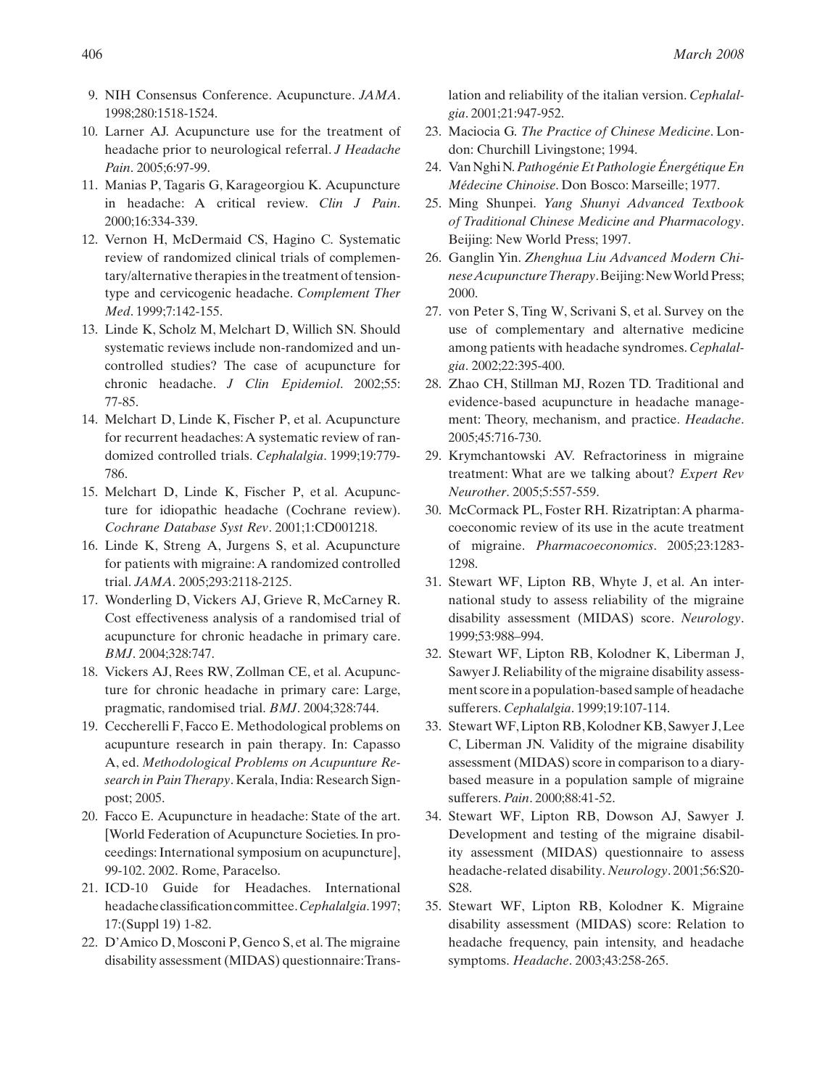- 9. NIH Consensus Conference. Acupuncture. *JAMA*. 1998;280:1518-1524.
- 10. Larner AJ. Acupuncture use for the treatment of headache prior to neurological referral. *J Headache Pain*. 2005;6:97-99.
- 11. Manias P, Tagaris G, Karageorgiou K. Acupuncture in headache: A critical review. *Clin J Pain*. 2000;16:334-339.
- 12. Vernon H, McDermaid CS, Hagino C. Systematic review of randomized clinical trials of complementary/alternative therapies in the treatment of tensiontype and cervicogenic headache. *Complement Ther Med*. 1999;7:142-155.
- 13. Linde K, Scholz M, Melchart D, Willich SN. Should systematic reviews include non-randomized and uncontrolled studies? The case of acupuncture for chronic headache. *J Clin Epidemiol*. 2002;55: 77-85.
- 14. Melchart D, Linde K, Fischer P, et al. Acupuncture for recurrent headaches:A systematic review of randomized controlled trials. *Cephalalgia*. 1999;19:779- 786.
- 15. Melchart D, Linde K, Fischer P, et al. Acupuncture for idiopathic headache (Cochrane review). *Cochrane Database Syst Rev*. 2001;1:CD001218.
- 16. Linde K, Streng A, Jurgens S, et al. Acupuncture for patients with migraine:A randomized controlled trial. *JAMA*. 2005;293:2118-2125.
- 17. Wonderling D, Vickers AJ, Grieve R, McCarney R. Cost effectiveness analysis of a randomised trial of acupuncture for chronic headache in primary care. *BMJ*. 2004;328:747.
- 18. Vickers AJ, Rees RW, Zollman CE, et al. Acupuncture for chronic headache in primary care: Large, pragmatic, randomised trial. *BMJ*. 2004;328:744.
- 19. Ceccherelli F, Facco E. Methodological problems on acupunture research in pain therapy. In: Capasso A, ed. *Methodological Problems on Acupunture Research in PainTherapy*. Kerala, India: Research Signpost; 2005.
- 20. Facco E. Acupuncture in headache: State of the art. [World Federation of Acupuncture Societies. In proceedings: International symposium on acupuncture], 99-102. 2002. Rome, Paracelso.
- 21. ICD-10 Guide for Headaches. International headacheclassificationcommittee.*Cephalalgia*.1997; 17:(Suppl 19) 1-82.
- 22. D'Amico D,Mosconi P, Genco S, et al. The migraine disability assessment (MIDAS) questionnaire:Trans-

lation and reliability of the italian version. *Cephalalgia*. 2001;21:947-952.

- 23. Maciocia G. *The Practice of Chinese Medicine*. London: Churchill Livingstone; 1994.
- 24. Van Nghi N.*Pathogénie Et Pathologie Énergétique En Médecine Chinoise*. Don Bosco: Marseille; 1977.
- 25. Ming Shunpei. *Yang Shunyi Advanced Textbook of Traditional Chinese Medicine and Pharmacology*. Beijing: New World Press; 1997.
- 26. Ganglin Yin. *Zhenghua Liu Advanced Modern ChineseAcupunctureTherapy*.Beijing:NewWorld Press; 2000.
- 27. von Peter S, Ting W, Scrivani S, et al. Survey on the use of complementary and alternative medicine among patients with headache syndromes. *Cephalalgia*. 2002;22:395-400.
- 28. Zhao CH, Stillman MJ, Rozen TD. Traditional and evidence-based acupuncture in headache management: Theory, mechanism, and practice. *Headache*. 2005;45:716-730.
- 29. Krymchantowski AV. Refractoriness in migraine treatment: What are we talking about? *Expert Rev Neurother*. 2005;5:557-559.
- 30. McCormack PL, Foster RH. Rizatriptan:A pharmacoeconomic review of its use in the acute treatment of migraine. *Pharmacoeconomics*. 2005;23:1283- 1298.
- 31. Stewart WF, Lipton RB, Whyte J, et al. An international study to assess reliability of the migraine disability assessment (MIDAS) score. *Neurology*. 1999;53:988–994.
- 32. Stewart WF, Lipton RB, Kolodner K, Liberman J, Sawyer J. Reliability of the migraine disability assessment score in a population-based sample of headache sufferers. *Cephalalgia*. 1999;19:107-114.
- 33. Stewart WF,Lipton RB,Kolodner KB, Sawyer J,Lee C, Liberman JN. Validity of the migraine disability assessment (MIDAS) score in comparison to a diarybased measure in a population sample of migraine sufferers. *Pain*. 2000;88:41-52.
- 34. Stewart WF, Lipton RB, Dowson AJ, Sawyer J. Development and testing of the migraine disability assessment (MIDAS) questionnaire to assess headache-related disability. *Neurology*. 2001;56:S20- S28.
- 35. Stewart WF, Lipton RB, Kolodner K. Migraine disability assessment (MIDAS) score: Relation to headache frequency, pain intensity, and headache symptoms. *Headache*. 2003;43:258-265.